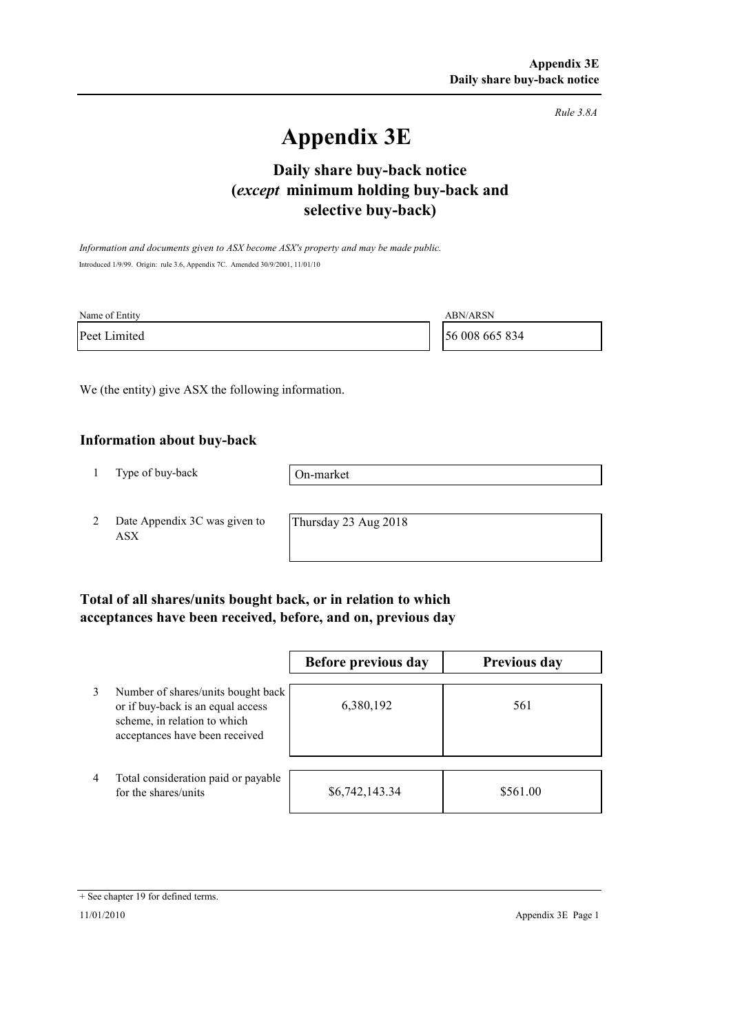*Rule 3.8A*

# **Appendix 3E**

# **selective buy-back) Daily share buy-back notice (***except* **minimum holding buy-back and**

*Information and documents given to ASX become ASX's property and may be made public.* Introduced 1/9/99. Origin: rule 3.6, Appendix 7C. Amended 30/9/2001, 11/01/10

| Name of Entity | <b>ABN/ARSN</b> |
|----------------|-----------------|
| Peet Limited   | 56 008 665 834  |

We (the entity) give ASX the following information.

#### **Information about buy-back**

1 Type of buy-back

On-market

2 Date Appendix 3C was given to ASX

Thursday 23 Aug 2018

### **Total of all shares/units bought back, or in relation to which acceptances have been received, before, and on, previous day**

|                |                                                                                                                                           | Before previous day | <b>Previous day</b> |
|----------------|-------------------------------------------------------------------------------------------------------------------------------------------|---------------------|---------------------|
| 3              | Number of shares/units bought back<br>or if buy-back is an equal access<br>scheme, in relation to which<br>acceptances have been received | 6,380,192           | 561                 |
| $\overline{4}$ | Total consideration paid or payable<br>for the shares/units                                                                               | \$6,742,143.34      | \$561.00            |

<sup>+</sup> See chapter 19 for defined terms.